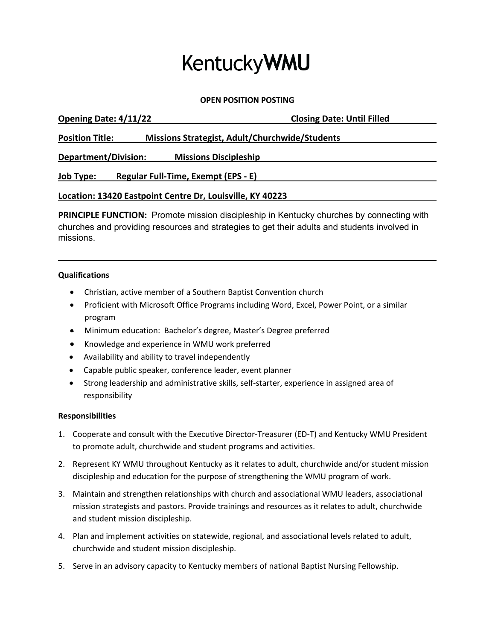# **KentuckyWMU**

**OPEN POSITION POSTING**

| Opening Date: 4/11/22                                     | <b>Closing Date: Until Filled</b>              |
|-----------------------------------------------------------|------------------------------------------------|
| <b>Position Title:</b>                                    | Missions Strategist, Adult/Churchwide/Students |
| Department/Division:<br><b>Missions Discipleship</b>      |                                                |
| Regular Full-Time, Exempt (EPS - E)<br><b>Job Type:</b>   |                                                |
| Location: 13420 Eastpoint Centre Dr, Louisville, KY 40223 |                                                |

**PRINCIPLE FUNCTION:** Promote mission discipleship in Kentucky churches by connecting with churches and providing resources and strategies to get their adults and students involved in missions.

### **Qualifications**

- Christian, active member of a Southern Baptist Convention church
- Proficient with Microsoft Office Programs including Word, Excel, Power Point, or a similar program
- Minimum education: Bachelor's degree, Master's Degree preferred
- Knowledge and experience in WMU work preferred
- Availability and ability to travel independently
- Capable public speaker, conference leader, event planner
- Strong leadership and administrative skills, self-starter, experience in assigned area of responsibility

### **Responsibilities**

- 1. Cooperate and consult with the Executive Director-Treasurer (ED-T) and Kentucky WMU President to promote adult, churchwide and student programs and activities.
- 2. Represent KY WMU throughout Kentucky as it relates to adult, churchwide and/or student mission discipleship and education for the purpose of strengthening the WMU program of work.
- 3. Maintain and strengthen relationships with church and associational WMU leaders, associational mission strategists and pastors. Provide trainings and resources as it relates to adult, churchwide and student mission discipleship.
- 4. Plan and implement activities on statewide, regional, and associational levels related to adult, churchwide and student mission discipleship.
- 5. Serve in an advisory capacity to Kentucky members of national Baptist Nursing Fellowship.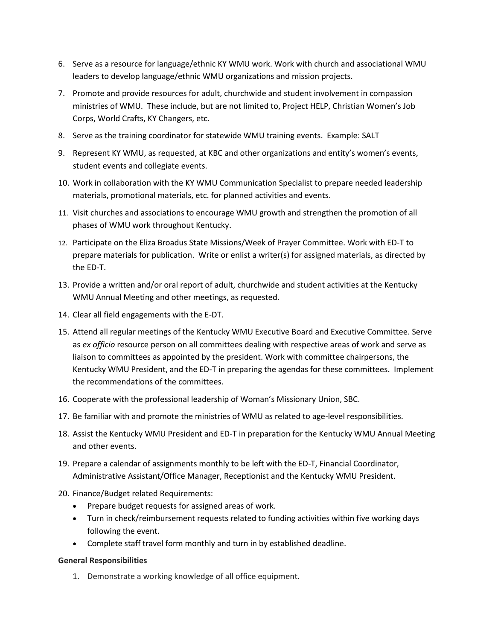- 6. Serve as a resource for language/ethnic KY WMU work. Work with church and associational WMU leaders to develop language/ethnic WMU organizations and mission projects.
- 7. Promote and provide resources for adult, churchwide and student involvement in compassion ministries of WMU. These include, but are not limited to, Project HELP, Christian Women's Job Corps, World Crafts, KY Changers, etc.
- 8. Serve as the training coordinator for statewide WMU training events. Example: SALT
- 9. Represent KY WMU, as requested, at KBC and other organizations and entity's women's events, student events and collegiate events.
- 10. Work in collaboration with the KY WMU Communication Specialist to prepare needed leadership materials, promotional materials, etc. for planned activities and events.
- 11. Visit churches and associations to encourage WMU growth and strengthen the promotion of all phases of WMU work throughout Kentucky.
- 12. Participate on the Eliza Broadus State Missions/Week of Prayer Committee. Work with ED-T to prepare materials for publication. Write or enlist a writer(s) for assigned materials, as directed by the ED-T.
- 13. Provide a written and/or oral report of adult, churchwide and student activities at the Kentucky WMU Annual Meeting and other meetings, as requested.
- 14. Clear all field engagements with the E-DT.
- 15. Attend all regular meetings of the Kentucky WMU Executive Board and Executive Committee. Serve as *ex officio* resource person on all committees dealing with respective areas of work and serve as liaison to committees as appointed by the president. Work with committee chairpersons, the Kentucky WMU President, and the ED-T in preparing the agendas for these committees. Implement the recommendations of the committees.
- 16. Cooperate with the professional leadership of Woman's Missionary Union, SBC.
- 17. Be familiar with and promote the ministries of WMU as related to age-level responsibilities.
- 18. Assist the Kentucky WMU President and ED-T in preparation for the Kentucky WMU Annual Meeting and other events.
- 19. Prepare a calendar of assignments monthly to be left with the ED-T, Financial Coordinator, Administrative Assistant/Office Manager, Receptionist and the Kentucky WMU President.
- 20. Finance/Budget related Requirements:
	- Prepare budget requests for assigned areas of work.
	- Turn in check/reimbursement requests related to funding activities within five working days following the event.
	- Complete staff travel form monthly and turn in by established deadline.

### **General Responsibilities**

1. Demonstrate a working knowledge of all office equipment.